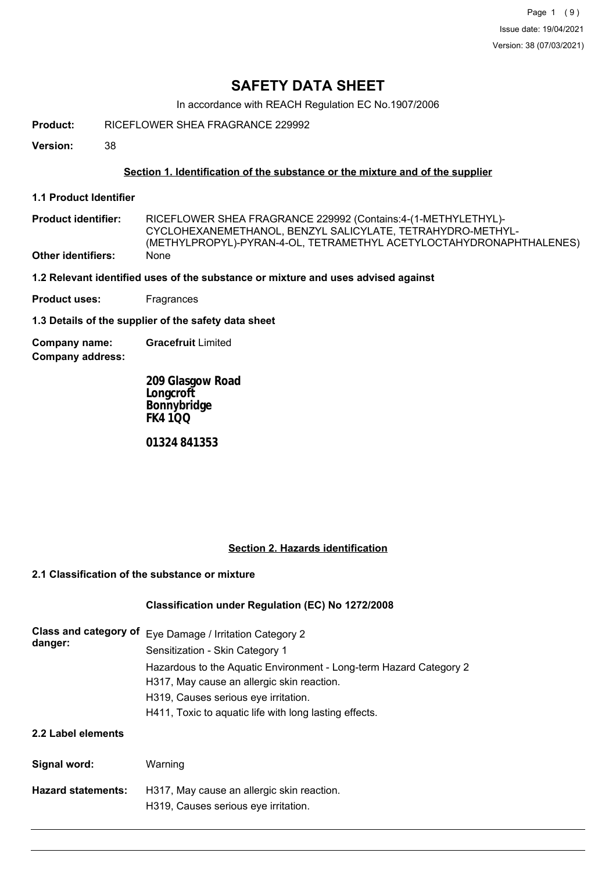Page 1 (9) Issue date: 19/04/2021 Version: 38 (07/03/2021)

## **SAFETY DATA SHEET**

In accordance with REACH Regulation EC No.1907/2006

**Product:** RICEFLOWER SHEA FRAGRANCE 229992

**Version:** 38

### **Section 1. Identification of the substance or the mixture and of the supplier**

- **1.1 Product Identifier**
- RICEFLOWER SHEA FRAGRANCE 229992 (Contains:4-(1-METHYLETHYL)- CYCLOHEXANEMETHANOL, BENZYL SALICYLATE, TETRAHYDRO-METHYL- (METHYLPROPYL)-PYRAN-4-OL, TETRAMETHYL ACETYLOCTAHYDRONAPHTHALENES) **Product identifier: Other identifiers:** None
- **1.2 Relevant identified uses of the substance or mixture and uses advised against**
- **Product uses:** Fragrances

**1.3 Details of the supplier of the safety data sheet**

**Company address: Company name: Gracefruit** Limited

> **209 Glasgow Road Longcroft Bonnybridge FK4 1QQ**

**01324 841353**

### **Section 2. Hazards identification**

#### **2.1 Classification of the substance or mixture**

### **Classification under Regulation (EC) No 1272/2008**

| Class and category of<br>danger: | Eye Damage / Irritation Category 2<br>Sensitization - Skin Category 1                                            |  |  |
|----------------------------------|------------------------------------------------------------------------------------------------------------------|--|--|
|                                  | Hazardous to the Aquatic Environment - Long-term Hazard Category 2<br>H317, May cause an allergic skin reaction. |  |  |
|                                  | H319, Causes serious eye irritation.                                                                             |  |  |
|                                  | H411, Toxic to aquatic life with long lasting effects.                                                           |  |  |
| 2.2 Label elements               |                                                                                                                  |  |  |
| Signal word:                     | Warning                                                                                                          |  |  |
| <b>Hazard statements:</b>        | H317, May cause an allergic skin reaction.<br>H319, Causes serious eye irritation.                               |  |  |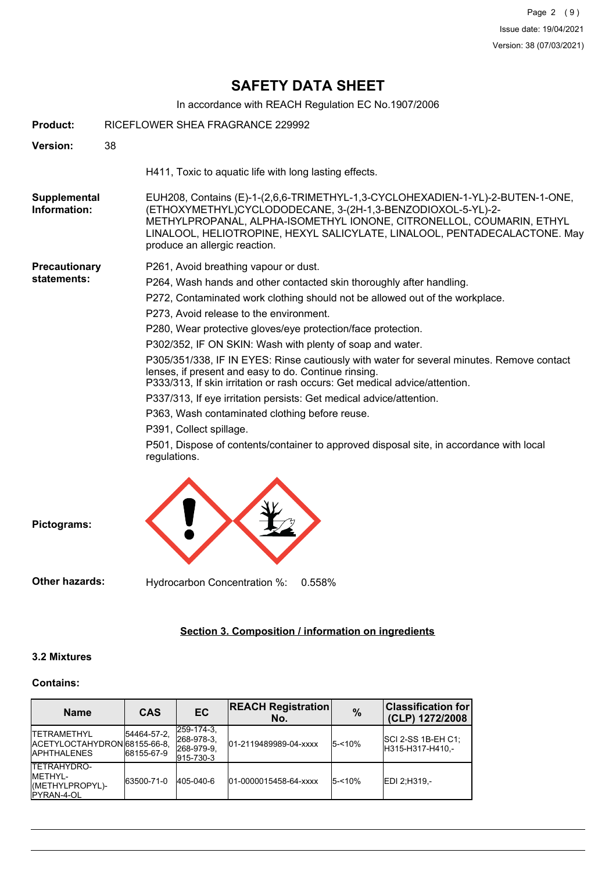## **SAFETY DATA SHEET**

In accordance with REACH Regulation EC No.1907/2006

| <b>Product:</b>                     | RICEFLOWER SHEA FRAGRANCE 229992                                                                                                                                                                                                                                                                                                                                                                                                                                                                                                                                                                                                                                                                                                                                                                                                                                        |  |  |
|-------------------------------------|-------------------------------------------------------------------------------------------------------------------------------------------------------------------------------------------------------------------------------------------------------------------------------------------------------------------------------------------------------------------------------------------------------------------------------------------------------------------------------------------------------------------------------------------------------------------------------------------------------------------------------------------------------------------------------------------------------------------------------------------------------------------------------------------------------------------------------------------------------------------------|--|--|
| Version:                            | 38                                                                                                                                                                                                                                                                                                                                                                                                                                                                                                                                                                                                                                                                                                                                                                                                                                                                      |  |  |
|                                     | H411, Toxic to aquatic life with long lasting effects.                                                                                                                                                                                                                                                                                                                                                                                                                                                                                                                                                                                                                                                                                                                                                                                                                  |  |  |
| Supplemental<br>Information:        | EUH208, Contains (E)-1-(2,6,6-TRIMETHYL-1,3-CYCLOHEXADIEN-1-YL)-2-BUTEN-1-ONE,<br>(ETHOXYMETHYL)CYCLODODECANE, 3-(2H-1,3-BENZODIOXOL-5-YL)-2-<br>METHYLPROPANAL, ALPHA-ISOMETHYL IONONE, CITRONELLOL, COUMARIN, ETHYL<br>LINALOOL, HELIOTROPINE, HEXYL SALICYLATE, LINALOOL, PENTADECALACTONE. May<br>produce an allergic reaction.                                                                                                                                                                                                                                                                                                                                                                                                                                                                                                                                     |  |  |
| <b>Precautionary</b><br>statements: | P261, Avoid breathing vapour or dust.<br>P264, Wash hands and other contacted skin thoroughly after handling.<br>P272, Contaminated work clothing should not be allowed out of the workplace.<br>P273, Avoid release to the environment.<br>P280, Wear protective gloves/eye protection/face protection.<br>P302/352, IF ON SKIN: Wash with plenty of soap and water.<br>P305/351/338, IF IN EYES: Rinse cautiously with water for several minutes. Remove contact<br>lenses, if present and easy to do. Continue rinsing.<br>P333/313. If skin irritation or rash occurs: Get medical advice/attention.<br>P337/313, If eye irritation persists: Get medical advice/attention.<br>P363, Wash contaminated clothing before reuse.<br>P391, Collect spillage.<br>P501, Dispose of contents/container to approved disposal site, in accordance with local<br>regulations. |  |  |
| Pictograms:                         |                                                                                                                                                                                                                                                                                                                                                                                                                                                                                                                                                                                                                                                                                                                                                                                                                                                                         |  |  |

**Other hazards:** Hydrocarbon Concentration %: 0.558%

## **Section 3. Composition / information on ingredients**

#### **3.2 Mixtures**

#### **Contains:**

| <b>Name</b>                                                                     | <b>CAS</b>                | <b>EC</b>                                               | <b>REACH Registration</b><br>No. | $\%$   | <b>Classification for</b><br>(CLP) 1272/2008  |
|---------------------------------------------------------------------------------|---------------------------|---------------------------------------------------------|----------------------------------|--------|-----------------------------------------------|
| <b>ITETRAMETHYL</b><br>IACETYLOCTAHYDRON 68155-66-8.<br><b>IAPHTHALENES</b>     | 54464-57-2.<br>68155-67-9 | $ 259-174-3 $<br>268-978-3.<br> 268-979-9.<br>915-730-3 | 01-2119489989-04-xxxx            | 5-<10% | <b>SCI 2-SS 1B-EH C1:</b><br>H315-H317-H410,- |
| <b>ITETRAHYDRO-</b><br><b>IMETHYL-</b><br>(METHYLPROPYL)-<br><b>IPYRAN-4-OL</b> | 63500-71-0                | 405-040-6                                               | 01-0000015458-64-xxxx            | 5-<10% | EDI 2:H319.-                                  |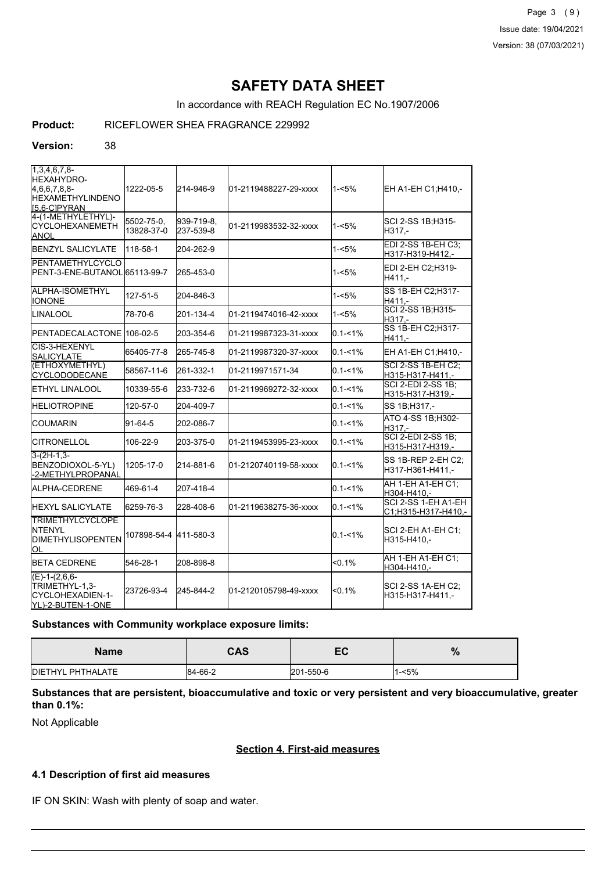Page 3 (9) Issue date: 19/04/2021 Version: 38 (07/03/2021)

## **SAFETY DATA SHEET**

In accordance with REACH Regulation EC No.1907/2006

## **Product:** RICEFLOWER SHEA FRAGRANCE 229992

#### **Version:** 38

| 1,3,4,6,7,8<br><b>HEXAHYDRO-</b><br>4,6,6,7,8,8-<br><b>I</b> HEXAMETHYLINDENO<br>I5.6-CIPYRAN | 1222-05-5                | 214-946-9               | 01-2119488227-29-xxxx  | 1-<5%       | EH A1-EH C1:H410 -                            |
|-----------------------------------------------------------------------------------------------|--------------------------|-------------------------|------------------------|-------------|-----------------------------------------------|
| 4-(1-METHYLETHYL)-<br><b>CYCLOHEXANEMETH</b><br><b>ANOL</b>                                   | 5502-75-0,<br>13828-37-0 | 939-719-8.<br>237-539-8 | 01-2119983532-32-xxxx  | $1 - 5%$    | SCI 2-SS 1B;H315-<br>H317.-                   |
| <b>BENZYL SALICYLATE</b>                                                                      | 118-58-1                 | 204-262-9               |                        | $1 - 5%$    | EDI 2-SS 1B-EH C3:<br>H317-H319-H412,-        |
| <b>IPENTAMETHYLCYCLO</b><br>IPENT-3-ENE-BUTANOL165113-99-7                                    |                          | 265-453-0               |                        | $1 - 5%$    | EDI 2-EH C2;H319-<br>H411,-                   |
| ALPHA-ISOMETHYL<br><b>IONONE</b>                                                              | 127-51-5                 | 204-846-3               |                        | 1-<5%       | SS 1B-EH C2:H317-<br>$H411. -$                |
| <b>LINALOOL</b>                                                                               | 78-70-6                  | 201-134-4               | 01-2119474016-42-xxxx  | $1 - 5%$    | SCI 2-SS 1B; H315-<br>H317.-                  |
| <b>IPENTADECALACTONE</b>                                                                      | $1106 - 02 - 5$          | 203-354-6               | 01-2119987323-31-xxxx  | $0.1 - 1\%$ | SS 1B-EH C2; H317-<br>H411,-                  |
| CIS-3-HEXENYL<br><b>SALICYLATE</b>                                                            | 65405-77-8               | 265-745-8               | 01-2119987320-37-xxxx  | $0.1 - 1\%$ | EH A1-EH C1; H410,-                           |
| (ETHOXYMETHYL)<br><b>CYCLODODECANE</b>                                                        | 58567-11-6               | 261-332-1               | 01-2119971571-34       | $0.1 - 1\%$ | <b>SCI 2-SS 1B-EH C2:</b><br>H315-H317-H411,- |
| <b>ETHYL LINALOOL</b>                                                                         | 10339-55-6               | 233-732-6               | 01-2119969272-32-xxxx  | $0.1 - 1\%$ | <b>SCI 2-EDI 2-SS 1B:</b><br>H315-H317-H319,- |
| <b>HELIOTROPINE</b>                                                                           | 120-57-0                 | 204-409-7               |                        | $0.1 - 1\%$ | SS 1B;H317,-                                  |
| <b>COUMARIN</b>                                                                               | 91-64-5                  | 202-086-7               |                        | $0.1 - 1\%$ | ATO 4-SS 1B; H302-<br>H317,-                  |
| <b>CITRONELLOL</b>                                                                            | 106-22-9                 | 203-375-0               | 01-2119453995-23-xxxx  | $0.1 - 1\%$ | <b>SCI 2-EDI 2-SS 1B:</b><br>H315-H317-H319.- |
| l3-(2H-1.3-<br>BENZODIOXOL-5-YL)<br>-2-METHYLPROPANAL                                         | 1205-17-0                | 214-881-6               | 01-2120740119-58-xxxx  | $0.1 - 1\%$ | SS 1B-REP 2-EH C2;<br>H317-H361-H411,-        |
| <b>IALPHA-CEDRENE</b>                                                                         | 469-61-4                 | 207-418-4               |                        | $0.1 - 1\%$ | AH 1-EH A1-EH C1;<br>H304-H410,-              |
| <b>HEXYL SALICYLATE</b>                                                                       | 6259-76-3                | 228-408-6               | 01-2119638275-36-xxxx  | $0.1 - 1\%$ | SCI 2-SS 1-EH A1-EH<br>C1;H315-H317-H410,-    |
| <b>TRIMETHYLCYCLOPE</b><br>INTENYL<br>IDIMETHYLISOPENTEN<br>ЮL                                | 107898-54-4 411-580-3    |                         |                        | $0.1 - 1\%$ | <b>SCI 2-EH A1-EH C1:</b><br>H315-H410,-      |
| <b>BETA CEDRENE</b>                                                                           | 546-28-1                 | 208-898-8               |                        | $< 0.1\%$   | AH 1-EH A1-EH C1;<br>H304-H410.-              |
| $(E)-1-(2,6,6-$<br>TRIMETHYL-1,3-<br>CYCLOHEXADIEN-1-<br>YL)-2-BUTEN-1-ONE                    | 23726-93-4               | 245-844-2               | l01-2120105798-49-xxxx | $< 0.1\%$   | <b>SCI 2-SS 1A-EH C2:</b><br>H315-H317-H411,- |

#### **Substances with Community workplace exposure limits:**

| <b>Name</b>       | <b>CAS</b> | -c        | 0,<br>$\sqrt{0}$ |
|-------------------|------------|-----------|------------------|
| DIETHYL PHTHALATE | 84-66-2    | 201-550-6 | l-<5%            |

### **Substances that are persistent, bioaccumulative and toxic or very persistent and very bioaccumulative, greater than 0.1%:**

Not Applicable

#### **Section 4. First-aid measures**

#### **4.1 Description of first aid measures**

IF ON SKIN: Wash with plenty of soap and water.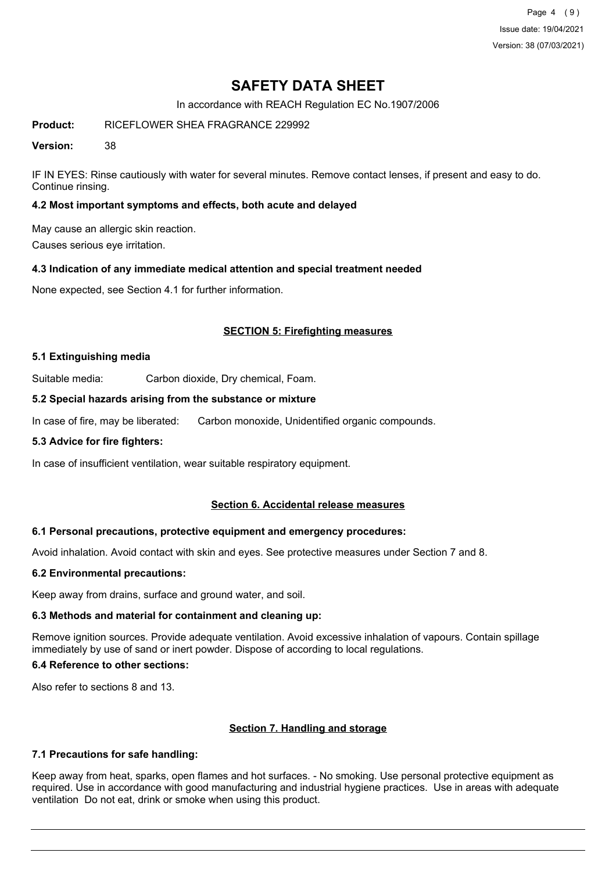Page 4 (9) Issue date: 19/04/2021 Version: 38 (07/03/2021)

## **SAFETY DATA SHEET**

In accordance with REACH Regulation EC No.1907/2006

**Product:** RICEFLOWER SHEA FRAGRANCE 229992

**Version:** 38

IF IN EYES: Rinse cautiously with water for several minutes. Remove contact lenses, if present and easy to do. Continue rinsing.

### **4.2 Most important symptoms and effects, both acute and delayed**

May cause an allergic skin reaction.

Causes serious eye irritation.

#### **4.3 Indication of any immediate medical attention and special treatment needed**

None expected, see Section 4.1 for further information.

### **SECTION 5: Firefighting measures**

#### **5.1 Extinguishing media**

Suitable media: Carbon dioxide, Dry chemical, Foam.

#### **5.2 Special hazards arising from the substance or mixture**

In case of fire, may be liberated: Carbon monoxide, Unidentified organic compounds.

#### **5.3 Advice for fire fighters:**

In case of insufficient ventilation, wear suitable respiratory equipment.

#### **Section 6. Accidental release measures**

#### **6.1 Personal precautions, protective equipment and emergency procedures:**

Avoid inhalation. Avoid contact with skin and eyes. See protective measures under Section 7 and 8.

#### **6.2 Environmental precautions:**

Keep away from drains, surface and ground water, and soil.

#### **6.3 Methods and material for containment and cleaning up:**

Remove ignition sources. Provide adequate ventilation. Avoid excessive inhalation of vapours. Contain spillage immediately by use of sand or inert powder. Dispose of according to local regulations.

## **6.4 Reference to other sections:**

Also refer to sections 8 and 13.

#### **Section 7. Handling and storage**

#### **7.1 Precautions for safe handling:**

Keep away from heat, sparks, open flames and hot surfaces. - No smoking. Use personal protective equipment as required. Use in accordance with good manufacturing and industrial hygiene practices. Use in areas with adequate ventilation Do not eat, drink or smoke when using this product.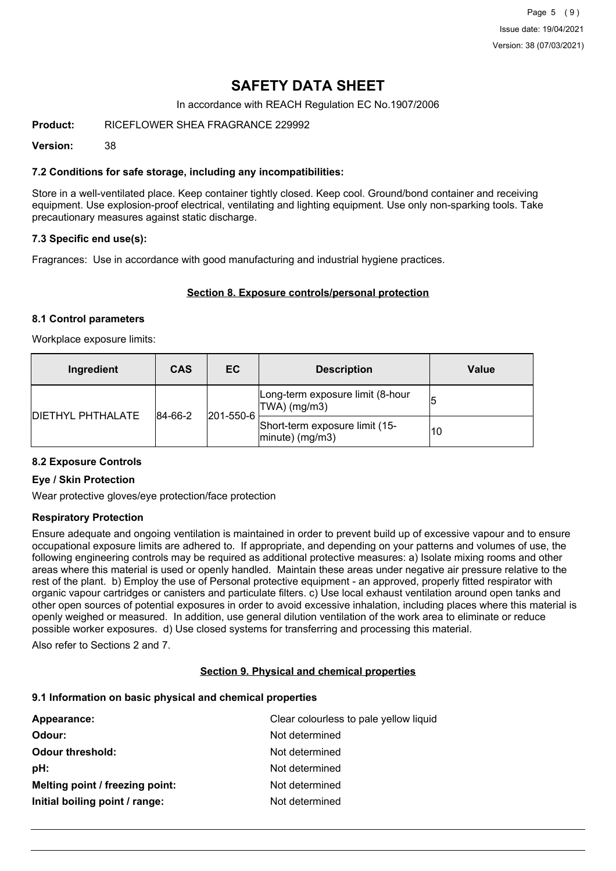## **SAFETY DATA SHEET**

In accordance with REACH Regulation EC No.1907/2006

**Product:** RICEFLOWER SHEA FRAGRANCE 229992

**Version:** 38

### **7.2 Conditions for safe storage, including any incompatibilities:**

Store in a well-ventilated place. Keep container tightly closed. Keep cool. Ground/bond container and receiving equipment. Use explosion-proof electrical, ventilating and lighting equipment. Use only non-sparking tools. Take precautionary measures against static discharge.

### **7.3 Specific end use(s):**

Fragrances: Use in accordance with good manufacturing and industrial hygiene practices.

#### **Section 8. Exposure controls/personal protection**

#### **8.1 Control parameters**

Workplace exposure limits:

| Ingredient               | <b>CAS</b>  | EC.       | <b>Description</b>                                       | Value |
|--------------------------|-------------|-----------|----------------------------------------------------------|-------|
| <b>DIETHYL PHTHALATE</b> | $ 84-66-2 $ | 201-550-6 | Long-term exposure limit (8-hour<br>$ TWA $ (mg/m3)      | 15    |
|                          |             |           | Short-term exposure limit (15-<br>$ $ minute $ $ (mg/m3) | 10    |

#### **8.2 Exposure Controls**

#### **Eye / Skin Protection**

Wear protective gloves/eye protection/face protection

#### **Respiratory Protection**

Ensure adequate and ongoing ventilation is maintained in order to prevent build up of excessive vapour and to ensure occupational exposure limits are adhered to. If appropriate, and depending on your patterns and volumes of use, the following engineering controls may be required as additional protective measures: a) Isolate mixing rooms and other areas where this material is used or openly handled. Maintain these areas under negative air pressure relative to the rest of the plant. b) Employ the use of Personal protective equipment - an approved, properly fitted respirator with organic vapour cartridges or canisters and particulate filters. c) Use local exhaust ventilation around open tanks and other open sources of potential exposures in order to avoid excessive inhalation, including places where this material is openly weighed or measured. In addition, use general dilution ventilation of the work area to eliminate or reduce possible worker exposures. d) Use closed systems for transferring and processing this material.

Also refer to Sections 2 and 7.

#### **Section 9. Physical and chemical properties**

#### **9.1 Information on basic physical and chemical properties**

| Appearance:                     | Clear colourless to pale yellow liquid |
|---------------------------------|----------------------------------------|
| Odour:                          | Not determined                         |
| <b>Odour threshold:</b>         | Not determined                         |
| pH:                             | Not determined                         |
| Melting point / freezing point: | Not determined                         |
| Initial boiling point / range:  | Not determined                         |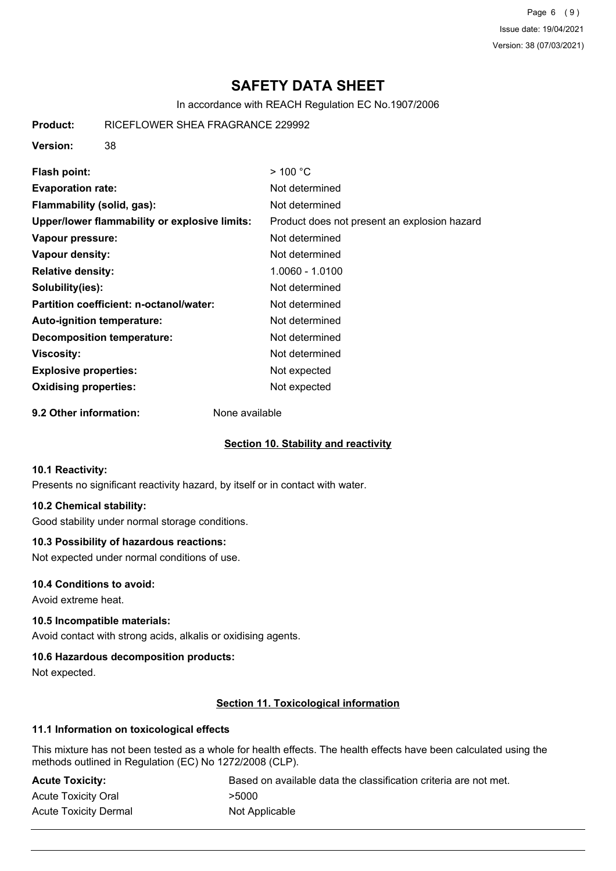Page 6 (9) Issue date: 19/04/2021 Version: 38 (07/03/2021)

# **SAFETY DATA SHEET**

In accordance with REACH Regulation EC No.1907/2006

| Product:                     | RICEFLOWER SHEA FRAGRANCE 229992              |                                              |
|------------------------------|-----------------------------------------------|----------------------------------------------|
| <b>Version:</b>              | 38                                            |                                              |
| <b>Flash point:</b>          |                                               | $>$ 100 °C                                   |
| <b>Evaporation rate:</b>     |                                               | Not determined                               |
|                              | Flammability (solid, gas):                    | Not determined                               |
|                              | Upper/lower flammability or explosive limits: | Product does not present an explosion hazard |
| Vapour pressure:             |                                               | Not determined                               |
| Vapour density:              |                                               | Not determined                               |
| <b>Relative density:</b>     |                                               | 1.0060 - 1.0100                              |
| Solubility(ies):             |                                               | Not determined                               |
|                              | Partition coefficient: n-octanol/water:       | Not determined                               |
|                              | <b>Auto-ignition temperature:</b>             | Not determined                               |
|                              | Decomposition temperature:                    | Not determined                               |
| <b>Viscosity:</b>            |                                               | Not determined                               |
| <b>Explosive properties:</b> |                                               | Not expected                                 |
| <b>Oxidising properties:</b> |                                               | Not expected                                 |
| 9.2 Other information:       | None available                                |                                              |

## **Section 10. Stability and reactivity**

#### **10.1 Reactivity:**

Presents no significant reactivity hazard, by itself or in contact with water.

### **10.2 Chemical stability:**

Good stability under normal storage conditions.

#### **10.3 Possibility of hazardous reactions:**

Not expected under normal conditions of use.

#### **10.4 Conditions to avoid:**

Avoid extreme heat.

#### **10.5 Incompatible materials:**

Avoid contact with strong acids, alkalis or oxidising agents.

#### **10.6 Hazardous decomposition products:**

Not expected.

## **Section 11. Toxicological information**

## **11.1 Information on toxicological effects**

This mixture has not been tested as a whole for health effects. The health effects have been calculated using the methods outlined in Regulation (EC) No 1272/2008 (CLP).

| <b>Acute Toxicity:</b>       | Based on available data the classification criteria are not met. |
|------------------------------|------------------------------------------------------------------|
| <b>Acute Toxicity Oral</b>   | >5000                                                            |
| <b>Acute Toxicity Dermal</b> | Not Applicable                                                   |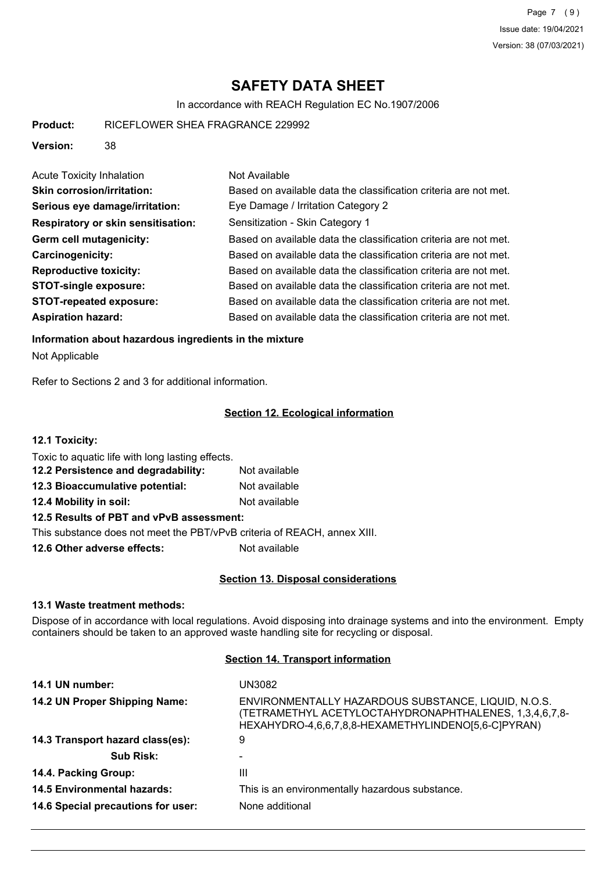Page 7 (9) Issue date: 19/04/2021 Version: 38 (07/03/2021)

# **SAFETY DATA SHEET**

In accordance with REACH Regulation EC No.1907/2006

| RICEFLOWER SHEA FRAGRANCE 229992<br>Product: |
|----------------------------------------------|
|                                              |
|                                              |
|                                              |
|                                              |

**Version:** 38

| <b>Acute Toxicity Inhalation</b>          | Not Available                                                    |
|-------------------------------------------|------------------------------------------------------------------|
| <b>Skin corrosion/irritation:</b>         | Based on available data the classification criteria are not met. |
| Serious eye damage/irritation:            | Eye Damage / Irritation Category 2                               |
| <b>Respiratory or skin sensitisation:</b> | Sensitization - Skin Category 1                                  |
| Germ cell mutagenicity:                   | Based on available data the classification criteria are not met. |
| <b>Carcinogenicity:</b>                   | Based on available data the classification criteria are not met. |
| <b>Reproductive toxicity:</b>             | Based on available data the classification criteria are not met. |
| <b>STOT-single exposure:</b>              | Based on available data the classification criteria are not met. |
| <b>STOT-repeated exposure:</b>            | Based on available data the classification criteria are not met. |
| <b>Aspiration hazard:</b>                 | Based on available data the classification criteria are not met. |

#### **Information about hazardous ingredients in the mixture**

Not Applicable

Refer to Sections 2 and 3 for additional information.

### **Section 12. Ecological information**

**12.1 Toxicity:**

Toxic to aquatic life with long lasting effects.

| 12.2 Persistence and degradability: | Not available |
|-------------------------------------|---------------|
| 12.3 Bioaccumulative potential:     | Not available |
| 12.4 Mobility in soil:              | Not available |

## **12.5 Results of PBT and vPvB assessment:**

This substance does not meet the PBT/vPvB criteria of REACH, annex XIII.

**12.6 Other adverse effects:** Not available

#### **Section 13. Disposal considerations**

#### **13.1 Waste treatment methods:**

Dispose of in accordance with local regulations. Avoid disposing into drainage systems and into the environment. Empty containers should be taken to an approved waste handling site for recycling or disposal.

## **Section 14. Transport information**

| 14.1 UN number:                    | UN3082                                                                                                                                                               |
|------------------------------------|----------------------------------------------------------------------------------------------------------------------------------------------------------------------|
| 14.2 UN Proper Shipping Name:      | ENVIRONMENTALLY HAZARDOUS SUBSTANCE, LIQUID, N.O.S.<br>(TETRAMETHYL ACETYLOCTAHYDRONAPHTHALENES, 1,3,4,6,7,8-<br>HEXAHYDRO-4,6,6,7,8,8-HEXAMETHYLINDENO[5,6-C]PYRAN) |
| 14.3 Transport hazard class(es):   | 9                                                                                                                                                                    |
| <b>Sub Risk:</b>                   |                                                                                                                                                                      |
| 14.4. Packing Group:               | Ш                                                                                                                                                                    |
| 14.5 Environmental hazards:        | This is an environmentally hazardous substance.                                                                                                                      |
| 14.6 Special precautions for user: | None additional                                                                                                                                                      |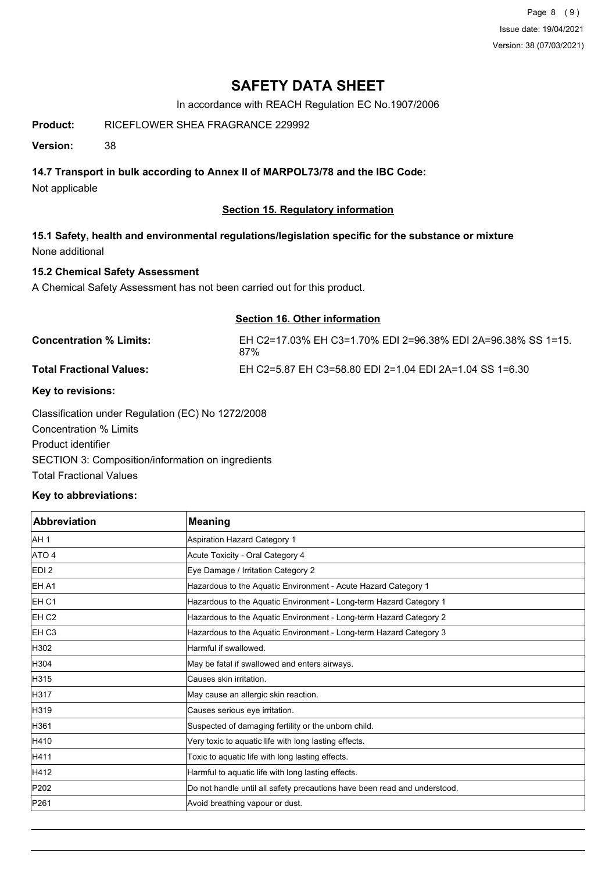Page 8 (9) Issue date: 19/04/2021 Version: 38 (07/03/2021)

## **SAFETY DATA SHEET**

In accordance with REACH Regulation EC No.1907/2006

## **Product:** RICEFLOWER SHEA FRAGRANCE 229992

**Version:** 38

## **14.7 Transport in bulk according to Annex II of MARPOL73/78 and the IBC Code:**

Not applicable

## **Section 15. Regulatory information**

**15.1 Safety, health and environmental regulations/legislation specific for the substance or mixture** None additional

## **15.2 Chemical Safety Assessment**

A Chemical Safety Assessment has not been carried out for this product.

#### **Section 16. Other information**

| <b>Concentration % Limits:</b>  | EH C2=17.03% EH C3=1.70% EDI 2=96.38% EDI 2A=96.38% SS 1=15.<br>87% |
|---------------------------------|---------------------------------------------------------------------|
| <b>Total Fractional Values:</b> | EH C2=5.87 EH C3=58.80 EDI 2=1.04 EDI 2A=1.04 SS 1=6.30             |
| Key to revisions:               |                                                                     |

Classification under Regulation (EC) No 1272/2008 Concentration % Limits Product identifier SECTION 3: Composition/information on ingredients Total Fractional Values

## **Key to abbreviations:**

| <b>Abbreviation</b> | <b>Meaning</b>                                                            |
|---------------------|---------------------------------------------------------------------------|
| AH <sub>1</sub>     | Aspiration Hazard Category 1                                              |
| ATO 4               | Acute Toxicity - Oral Category 4                                          |
| EDI <sub>2</sub>    | Eye Damage / Irritation Category 2                                        |
| <b>IEH A1</b>       | Hazardous to the Aquatic Environment - Acute Hazard Category 1            |
| EH C1               | Hazardous to the Aquatic Environment - Long-term Hazard Category 1        |
| EH <sub>C2</sub>    | Hazardous to the Aquatic Environment - Long-term Hazard Category 2        |
| <b>EH C3</b>        | Hazardous to the Aquatic Environment - Long-term Hazard Category 3        |
| H302                | Harmful if swallowed.                                                     |
| H304                | May be fatal if swallowed and enters airways.                             |
| H315                | lCauses skin irritation.                                                  |
| <b>H317</b>         | May cause an allergic skin reaction.                                      |
| H319                | Causes serious eye irritation.                                            |
| H361                | Suspected of damaging fertility or the unborn child.                      |
| H410                | Very toxic to aquatic life with long lasting effects.                     |
| H411                | Toxic to aquatic life with long lasting effects.                          |
| H412                | Harmful to aquatic life with long lasting effects.                        |
| P202                | Do not handle until all safety precautions have been read and understood. |
| P261                | Avoid breathing vapour or dust.                                           |